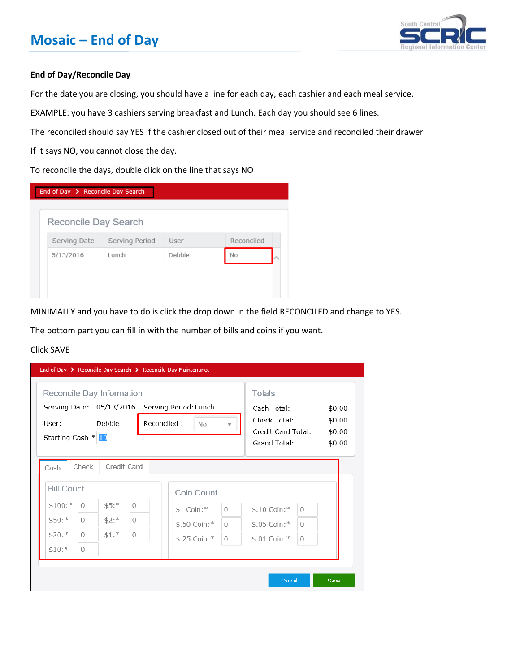## **Mosaic – End of Day**



#### **End of Day/Reconcile Day**

For the date you are closing, you should have a line for each day, each cashier and each meal service.

EXAMPLE: you have 3 cashiers serving breakfast and Lunch. Each day you should see 6 lines.

The reconciled should say YES if the cashier closed out of their meal service and reconciled their drawer

If it says NO, you cannot close the day.

To reconcile the days, double click on the line that says NO



MINIMALLY and you have to do is click the drop down in the field RECONCILED and change to YES.

The bottom part you can fill in with the number of bills and coins if you want.

#### Click SAVE

| Reconcile Day Information<br>Serving Date: 05/13/2016 Serving Period: Lunch<br>User:<br>Starting Cash:* 10                                | Debbie.                                                                             | Reconciled: | <b>No</b>                                                | $\overline{\mathbf{v}}$ | Totals<br>Cash Total:<br>Check Total:<br>Credit Card Total:<br>Grand Total: |                                      | \$0.00<br>\$0.00<br>\$0.00<br>\$0.00 |
|-------------------------------------------------------------------------------------------------------------------------------------------|-------------------------------------------------------------------------------------|-------------|----------------------------------------------------------|-------------------------|-----------------------------------------------------------------------------|--------------------------------------|--------------------------------------|
| Check<br>Cash<br><b>Bill Count</b><br>$$100$ :*<br>$\bigcirc$<br>$$50:$ *<br>$\mathbf{0}$<br>$$20:$ *<br>$\circ$<br>$$10:$ *<br>$\bigcap$ | Credit Card<br>$$5:$ *<br>$\Omega$<br>$$2:$ *<br>$\circ$<br>$$1:$ *<br>$\mathbf{0}$ |             | Coin Count<br>\$1 Coin:*<br>\$.50 Coin:*<br>\$.25 Coin:* | $\circ$<br>0<br>0       | \$.10 Coin:*<br>\$.05 Coin:*<br>$$.01$ Coin: *                              | $\Omega$<br>$\Omega$<br>$\mathbf{0}$ |                                      |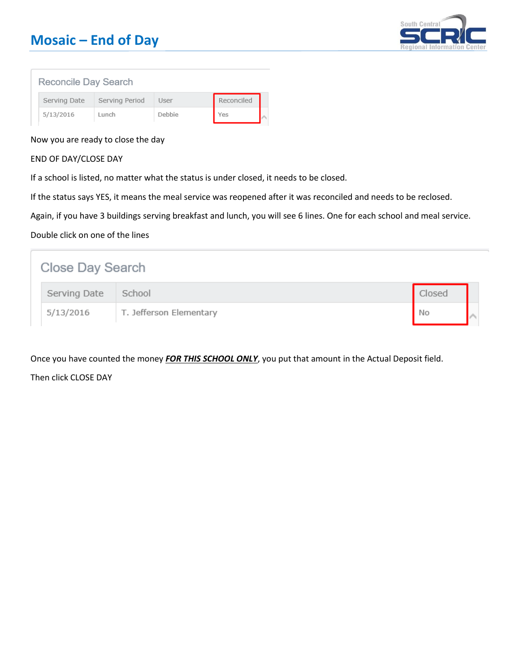# **Mosaic – End of Day**



#### Reconcile Day Search

| Serving Date | Serving Period | User   | Reconciled |  |
|--------------|----------------|--------|------------|--|
| 5/13/2016    | Lunch          | Debbie | Yes        |  |

#### Now you are ready to close the day

#### END OF DAY/CLOSE DAY

If a school is listed, no matter what the status is under closed, it needs to be closed.

If the status says YES, it means the meal service was reopened after it was reconciled and needs to be reclosed.

Again, if you have 3 buildings serving breakfast and lunch, you will see 6 lines. One for each school and meal service.

#### Double click on one of the lines

| Close Day Search |              |                         |        |  |  |
|------------------|--------------|-------------------------|--------|--|--|
|                  | Serving Date | School                  | Closed |  |  |
|                  | 5/13/2016    | T. Jefferson Elementary | No     |  |  |

Once you have counted the money *FOR THIS SCHOOL ONLY*, you put that amount in the Actual Deposit field.

Then click CLOSE DAY